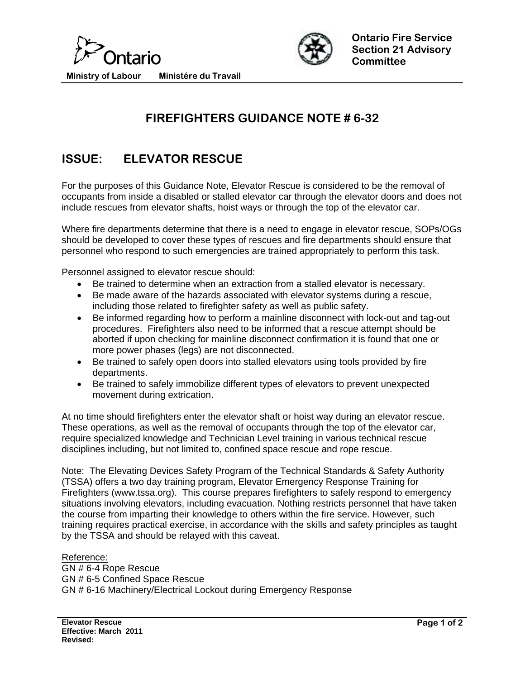



**Ministry of Labour Ministére du Travail** 

## **FIREFIGHTERS GUIDANCE NOTE # 6-32**

## **ISSUE: ELEVATOR RESCUE**

For the purposes of this Guidance Note, Elevator Rescue is considered to be the removal of occupants from inside a disabled or stalled elevator car through the elevator doors and does not include rescues from elevator shafts, hoist ways or through the top of the elevator car.

Where fire departments determine that there is a need to engage in elevator rescue, SOPs/OGs should be developed to cover these types of rescues and fire departments should ensure that personnel who respond to such emergencies are trained appropriately to perform this task.

Personnel assigned to elevator rescue should:

- Be trained to determine when an extraction from a stalled elevator is necessary.
- Be made aware of the hazards associated with elevator systems during a rescue, including those related to firefighter safety as well as public safety.
- Be informed regarding how to perform a mainline disconnect with lock-out and tag-out procedures. Firefighters also need to be informed that a rescue attempt should be aborted if upon checking for mainline disconnect confirmation it is found that one or more power phases (legs) are not disconnected.
- Be trained to safely open doors into stalled elevators using tools provided by fire departments.
- Be trained to safely immobilize different types of elevators to prevent unexpected movement during extrication.

At no time should firefighters enter the elevator shaft or hoist way during an elevator rescue. These operations, as well as the removal of occupants through the top of the elevator car, require specialized knowledge and Technician Level training in various technical rescue disciplines including, but not limited to, confined space rescue and rope rescue.

Note: The Elevating Devices Safety Program of the Technical Standards & Safety Authority (TSSA) offers a two day training program, Elevator Emergency Response Training for Firefighters (www.tssa.org). This course prepares firefighters to safely respond to emergency situations involving elevators, including evacuation. Nothing restricts personnel that have taken the course from imparting their knowledge to others within the fire service. However, such training requires practical exercise, in accordance with the skills and safety principles as taught by the TSSA and should be relayed with this caveat.

## Reference: GN # 6-4 Rope Rescue GN # 6-5 Confined Space Rescue GN # 6-16 Machinery/Electrical Lockout during Emergency Response